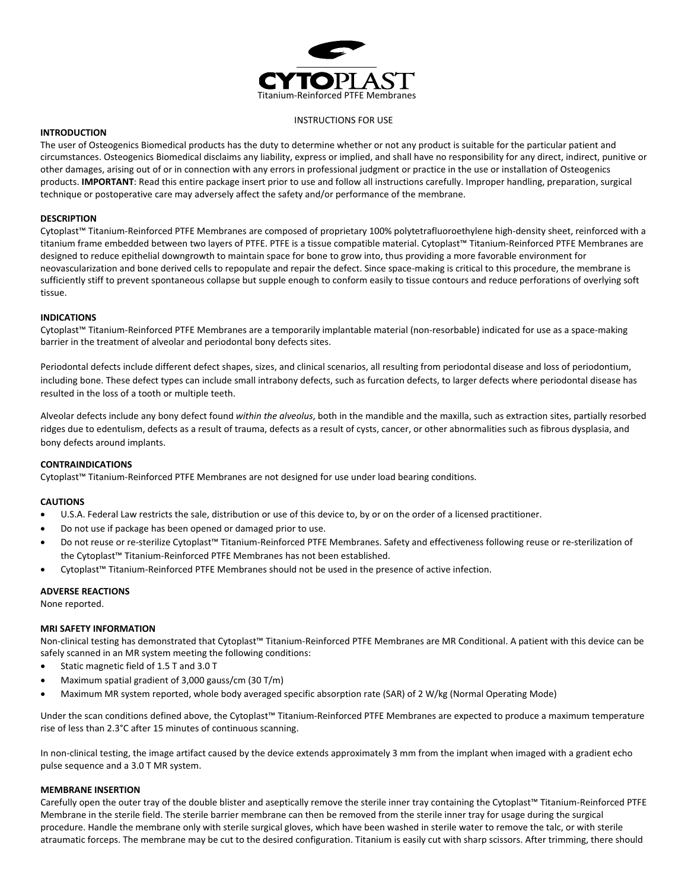

#### INSTRUCTIONS FOR USE

# **INTRODUCTION**

The user of Osteogenics Biomedical products has the duty to determine whether or not any product is suitable for the particular patient and circumstances. Osteogenics Biomedical disclaims any liability, express or implied, and shall have no responsibility for any direct, indirect, punitive or other damages, arising out of or in connection with any errors in professional judgment or practice in the use or installation of Osteogenics products. **IMPORTANT**: Read this entire package insert prior to use and follow all instructions carefully. Improper handling, preparation, surgical technique or postoperative care may adversely affect the safety and/or performance of the membrane.

### **DESCRIPTION**

Cytoplast™ Titanium-Reinforced PTFE Membranes are composed of proprietary 100% polytetrafluoroethylene high-density sheet, reinforced with a titanium frame embedded between two layers of PTFE. PTFE is a tissue compatible material. Cytoplast™ Titanium-Reinforced PTFE Membranes are designed to reduce epithelial downgrowth to maintain space for bone to grow into, thus providing a more favorable environment for neovascularization and bone derived cells to repopulate and repair the defect. Since space-making is critical to this procedure, the membrane is sufficiently stiff to prevent spontaneous collapse but supple enough to conform easily to tissue contours and reduce perforations of overlying soft tissue.

## **INDICATIONS**

Cytoplast™ Titanium-Reinforced PTFE Membranes are a temporarily implantable material (non-resorbable) indicated for use as a space-making barrier in the treatment of alveolar and periodontal bony defects sites.

Periodontal defects include different defect shapes, sizes, and clinical scenarios, all resulting from periodontal disease and loss of periodontium, including bone. These defect types can include small intrabony defects, such as furcation defects, to larger defects where periodontal disease has resulted in the loss of a tooth or multiple teeth.

Alveolar defects include any bony defect found *within the alveolus*, both in the mandible and the maxilla, such as extraction sites, partially resorbed ridges due to edentulism, defects as a result of trauma, defects as a result of cysts, cancer, or other abnormalities such as fibrous dysplasia, and bony defects around implants.

### **CONTRAINDICATIONS**

Cytoplast™ Titanium-Reinforced PTFE Membranes are not designed for use under load bearing conditions.

### **CAUTIONS**

- U.S.A. Federal Law restricts the sale, distribution or use of this device to, by or on the order of a licensed practitioner.
- Do not use if package has been opened or damaged prior to use.
- Do not reuse or re-sterilize Cytoplast™ Titanium-Reinforced PTFE Membranes. Safety and effectiveness following reuse or re-sterilization of the Cytoplast™ Titanium-Reinforced PTFE Membranes has not been established.
- Cytoplast™ Titanium-Reinforced PTFE Membranes should not be used in the presence of active infection.

### **ADVERSE REACTIONS**

None reported.

## **MRI SAFETY INFORMATION**

Non-clinical testing has demonstrated that Cytoplast™ Titanium-Reinforced PTFE Membranes are MR Conditional. A patient with this device can be safely scanned in an MR system meeting the following conditions:

- Static magnetic field of 1.5 T and 3.0 T
- Maximum spatial gradient of 3,000 gauss/cm (30 T/m)
- Maximum MR system reported, whole body averaged specific absorption rate (SAR) of 2 W/kg (Normal Operating Mode)

Under the scan conditions defined above, the Cytoplast™ Titanium-Reinforced PTFE Membranes are expected to produce a maximum temperature rise of less than 2.3°C after 15 minutes of continuous scanning.

In non-clinical testing, the image artifact caused by the device extends approximately 3 mm from the implant when imaged with a gradient echo pulse sequence and a 3.0 T MR system.

### **MEMBRANE INSERTION**

Carefully open the outer tray of the double blister and aseptically remove the sterile inner tray containing the Cytoplast™ Titanium-Reinforced PTFE Membrane in the sterile field. The sterile barrier membrane can then be removed from the sterile inner tray for usage during the surgical procedure. Handle the membrane only with sterile surgical gloves, which have been washed in sterile water to remove the talc, or with sterile atraumatic forceps. The membrane may be cut to the desired configuration. Titanium is easily cut with sharp scissors. After trimming, there should